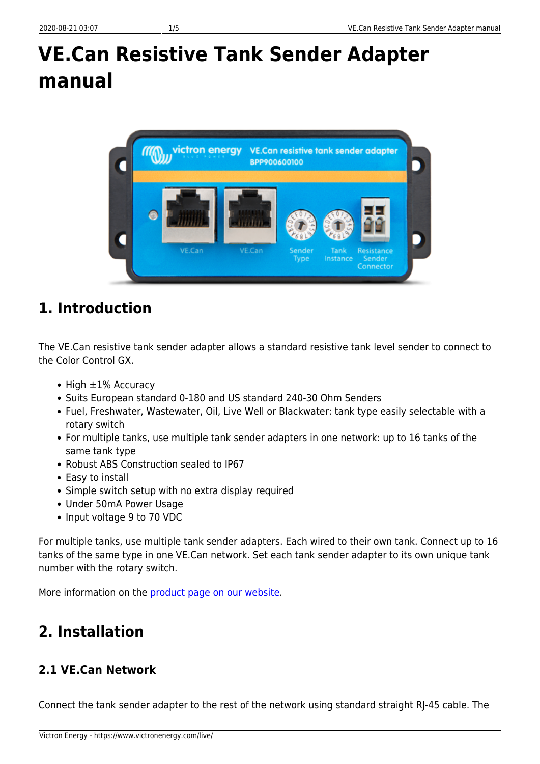# **VE.Can Resistive Tank Sender Adapter manual**



# **1. Introduction**

The VE.Can resistive tank sender adapter allows a standard resistive tank level sender to connect to the Color Control GX.

- $\bullet$  High  $\pm 1\%$  Accuracy
- Suits European standard 0-180 and US standard 240-30 Ohm Senders
- Fuel, Freshwater, Wastewater, Oil, Live Well or Blackwater: tank type easily selectable with a rotary switch
- For multiple tanks, use multiple tank sender adapters in one network: up to 16 tanks of the same tank type
- Robust ABS Construction sealed to IP67
- Easy to install
- Simple switch setup with no extra display required
- Under 50mA Power Usage
- Input voltage 9 to 70 VDC

For multiple tanks, use multiple tank sender adapters. Each wired to their own tank. Connect up to 16 tanks of the same type in one VE.Can network. Set each tank sender adapter to its own unique tank number with the rotary switch.

More information on the [product page on our website](https://www.victronenergy.com/accessories/ve-can-resistive-tank-sender-adapter).

# **2. Installation**

## **2.1 VE.Can Network**

Connect the tank sender adapter to the rest of the network using standard straight RJ-45 cable. The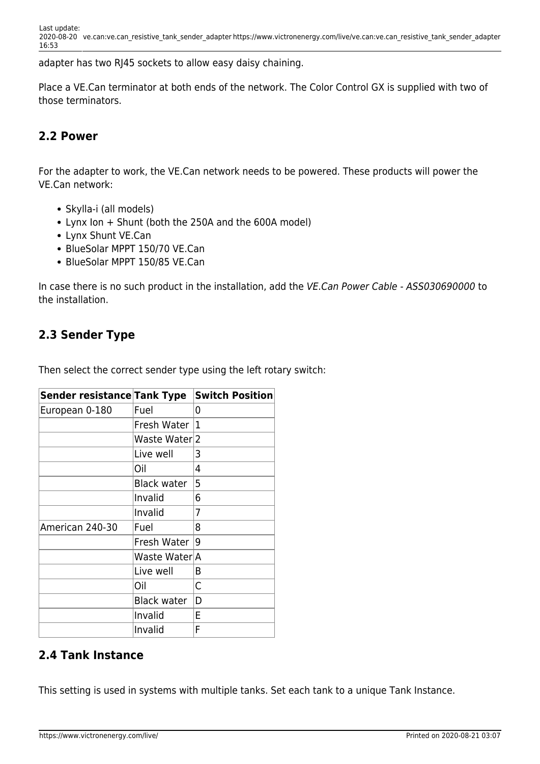adapter has two RJ45 sockets to allow easy daisy chaining.

Place a VE.Can terminator at both ends of the network. The Color Control GX is supplied with two of those terminators.

#### **2.2 Power**

For the adapter to work, the VE.Can network needs to be powered. These products will power the VE.Can network:

- Skylla-i (all models)
- Lynx Ion + Shunt (both the 250A and the 600A model)
- Lynx Shunt VE.Can
- BlueSolar MPPT 150/70 VE.Can
- BlueSolar MPPT 150/85 VE.Can

In case there is no such product in the installation, add the VE.Can Power Cable - ASS030690000 to the installation.

#### **2.3 Sender Type**

Then select the correct sender type using the left rotary switch:

| Sender resistance Tank Type |                    | <b>Switch Position</b> |
|-----------------------------|--------------------|------------------------|
| European 0-180              | Fuel               | 0                      |
|                             | Fresh Water        | 1                      |
|                             | Waste Water 2      |                        |
|                             | Live well          | 3                      |
|                             | Oil                | 4                      |
|                             | <b>Black water</b> | 5                      |
|                             | Invalid            | 6                      |
|                             | Invalid            | 7                      |
| American 240-30             | Fuel               | 8                      |
|                             | Fresh Water        | 9                      |
|                             | Waste Water A      |                        |
|                             | Live well          | В                      |
|                             | Oil                | C                      |
|                             | <b>Black water</b> | D                      |
|                             | Invalid            | E                      |
|                             | Invalid            | F                      |

#### **2.4 Tank Instance**

This setting is used in systems with multiple tanks. Set each tank to a unique Tank Instance.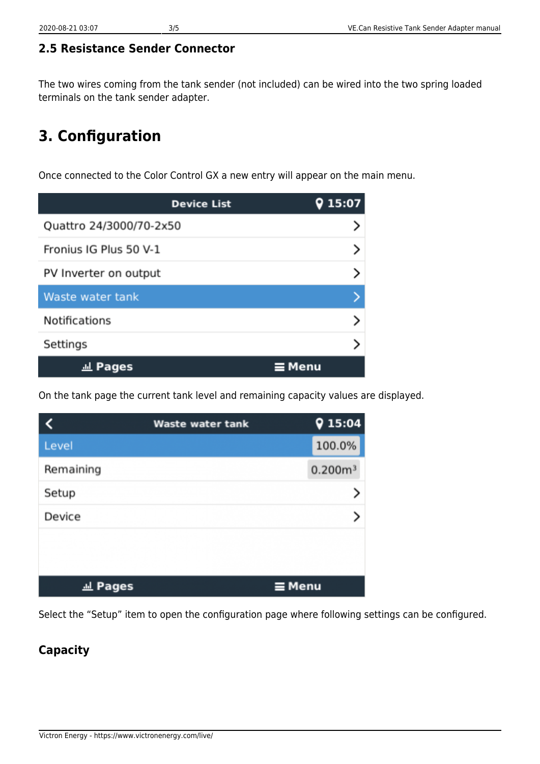### **2.5 Resistance Sender Connector**

The two wires coming from the tank sender (not included) can be wired into the two spring loaded terminals on the tank sender adapter.

# **3. Configuration**

Once connected to the Color Control GX a new entry will appear on the main menu.

| <b>Device List</b>      | 15:07         |
|-------------------------|---------------|
| Quattro 24/3000/70-2x50 |               |
| Fronius IG Plus 50 V-1  |               |
| PV Inverter on output   |               |
| Waste water tank        |               |
| <b>Notifications</b>    |               |
| Settings                |               |
| <b><i>l</i>l</b> Pages  | $\equiv$ Menu |

On the tank page the current tank level and remaining capacity values are displayed.

|                | <b>Waste water tank</b> | 915:04              |
|----------------|-------------------------|---------------------|
| Level          |                         | 100.0%              |
| Remaining      |                         | 0.200m <sup>3</sup> |
| Setup          |                         |                     |
| Device         |                         |                     |
|                |                         |                     |
|                |                         |                     |
| <u>교</u> Pages |                         | $\equiv$ Menu       |

Select the "Setup" item to open the configuration page where following settings can be configured.

### **Capacity**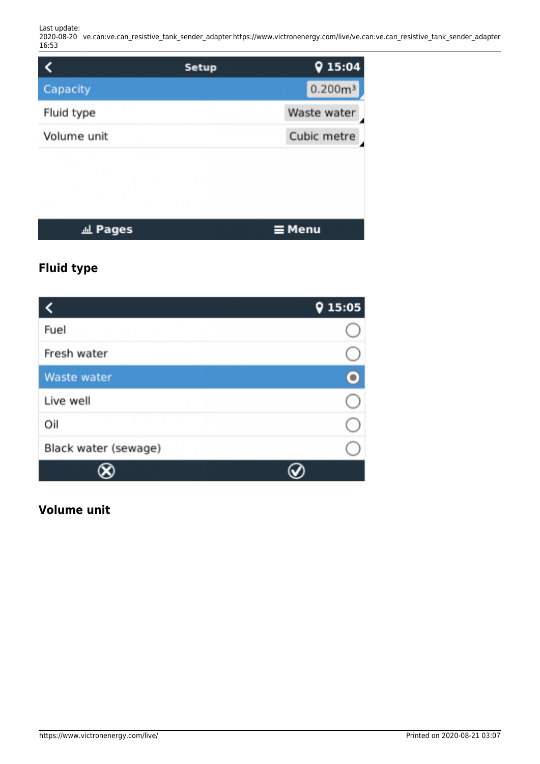Last update: 2020-08-20 ve.can:ve.can\_resistive\_tank\_sender\_adapter https://www.victronenergy.com/live/ve.can:ve.can\_resistive\_tank\_sender\_adapter 16:53

|                            | <b>Setup</b> | 915:04              |
|----------------------------|--------------|---------------------|
| Capacity                   |              | 0.200m <sup>3</sup> |
| Fluid type                 |              | Waste water         |
| Volume unit                |              | Cubic metre         |
|                            |              |                     |
|                            |              |                     |
|                            |              |                     |
| <b>Pages</b><br><u>.hl</u> |              | ≡ Menu              |

## **Fluid type**

|                      | 15:05<br>0 |
|----------------------|------------|
| Fuel                 |            |
| Fresh water          |            |
| <b>Waste water</b>   |            |
| Live well            |            |
| Oil                  |            |
| Black water (sewage) |            |
|                      |            |

#### **Volume unit**